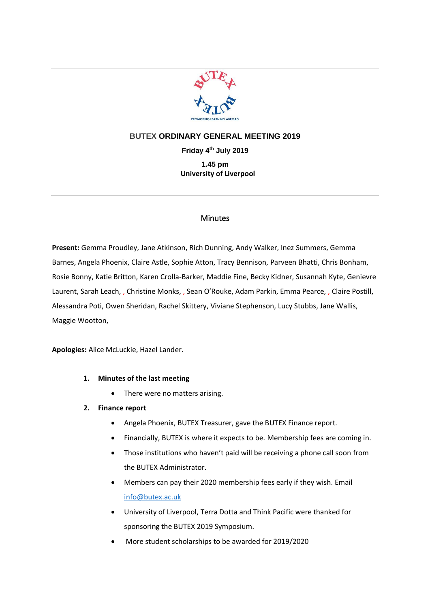

# **BUTEX ORDINARY GENERAL MEETING 2019**

**Friday 4 th July 2019 1.45 pm University of Liverpool**

### **Minutes**

**Present:** Gemma Proudley, Jane Atkinson, Rich Dunning, Andy Walker, Inez Summers, Gemma Barnes, Angela Phoenix, Claire Astle, Sophie Atton, Tracy Bennison, Parveen Bhatti, Chris Bonham, Rosie Bonny, Katie Britton, Karen Crolla-Barker, Maddie Fine, Becky Kidner, Susannah Kyte, Genievre Laurent, Sarah Leach, , Christine Monks, , Sean O'Rouke, Adam Parkin, Emma Pearce, , Claire Postill, Alessandra Poti, Owen Sheridan, Rachel Skittery, Viviane Stephenson, Lucy Stubbs, Jane Wallis, Maggie Wootton,

**Apologies:** Alice McLuckie, Hazel Lander.

## **1. Minutes of the last meeting**

• There were no matters arising.

## **2. Finance report**

- Angela Phoenix, BUTEX Treasurer, gave the BUTEX Finance report.
- Financially, BUTEX is where it expects to be. Membership fees are coming in.
- Those institutions who haven't paid will be receiving a phone call soon from the BUTEX Administrator.
- Members can pay their 2020 membership fees early if they wish. Email [info@butex.ac.uk](mailto:info@butex.ac.uk)
- University of Liverpool, Terra Dotta and Think Pacific were thanked for sponsoring the BUTEX 2019 Symposium.
- More student scholarships to be awarded for 2019/2020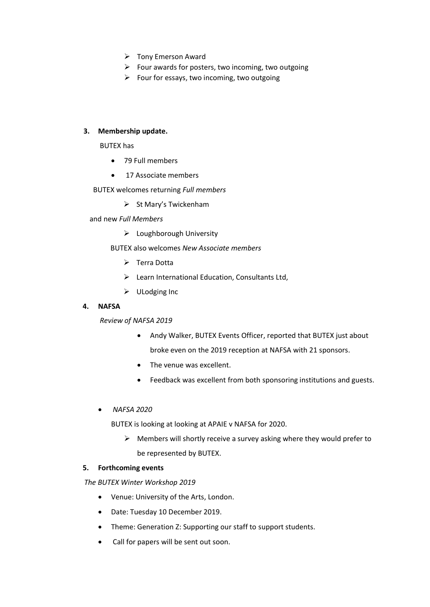- ➢ Tony Emerson Award
- $\triangleright$  Four awards for posters, two incoming, two outgoing
- $\triangleright$  Four for essays, two incoming, two outgoing

### **3. Membership update.**

BUTEX has

- 79 Full members
- 17 Associate members
- BUTEX welcomes returning *Full members* 
	- ➢ St Mary's Twickenham

and new *Full Members*

➢ Loughborough University

BUTEX also welcomes *New Associate members* 

- ➢ Terra Dotta
- ➢ Learn International Education, Consultants Ltd,
- ➢ ULodging Inc

#### **4. NAFSA**

*Review of NAFSA 2019*

- Andy Walker, BUTEX Events Officer, reported that BUTEX just about broke even on the 2019 reception at NAFSA with 21 sponsors.
- The venue was excellent.
- Feedback was excellent from both sponsoring institutions and guests.
- *NAFSA 2020*

BUTEX is looking at looking at APAIE v NAFSA for 2020.

 $\triangleright$  Members will shortly receive a survey asking where they would prefer to be represented by BUTEX.

#### **5. Forthcoming events**

 *The BUTEX Winter Workshop 2019*

- Venue: University of the Arts, London.
- Date: Tuesday 10 December 2019.
- Theme: Generation Z: Supporting our staff to support students.
- Call for papers will be sent out soon.